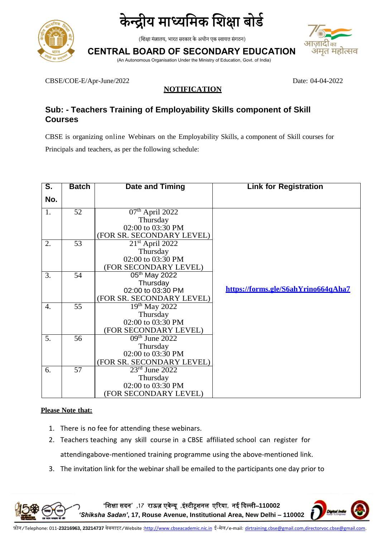



(शिक्षा मंत्रालय, भारत सरकार के अधीन एक स्वायत्त संगठन)

**CENTRAL BOARD OF SECONDARY EDUCATION** (An Autonomous Organisation Under the Ministry of Education, Govt. of India)

CBSE/COE-E/Apr-June/2022 Date: 04-04-2022

### **NOTIFICATION**

## **Sub: - Teachers Training of Employability Skills component of Skill Courses**

CBSE is organizing online Webinars on the Employability Skills, a component of Skill courses for Principals and teachers, as per the following schedule:

| S.               | <b>Batch</b> | <b>Date and Timing</b>    | <b>Link for Registration</b>        |
|------------------|--------------|---------------------------|-------------------------------------|
| No.              |              |                           |                                     |
| 1.               | 52           | $07th$ April 2022         |                                     |
|                  |              | Thursday                  |                                     |
|                  |              | 02:00 to 03:30 PM         |                                     |
|                  |              | (FOR SR. SECONDARY LEVEL) |                                     |
| 2.               | 53           | $21st$ April 2022         |                                     |
|                  |              | Thursday                  |                                     |
|                  |              | 02:00 to 03:30 PM         |                                     |
|                  |              | (FOR SECONDARY LEVEL)     |                                     |
| 3.               | 54           | 05 <sup>th</sup> May 2022 |                                     |
|                  |              | Thursday                  |                                     |
|                  |              | 02:00 to 03:30 PM         | https://forms.gle/S6ahYrino664qAha7 |
|                  |              | (FOR SR. SECONDARY LEVEL) |                                     |
| $\overline{4}$ . | 55           | $19^{th}$ May 2022        |                                     |
|                  |              | Thursday                  |                                     |
|                  |              | 02:00 to 03:30 PM         |                                     |
|                  |              | (FOR SECONDARY LEVEL)     |                                     |
| 5.               | 56           | $09th$ June 2022          |                                     |
|                  |              | Thursday                  |                                     |
|                  |              | 02:00 to 03:30 PM         |                                     |
|                  |              | (FOR SR. SECONDARY LEVEL) |                                     |
| 6.               | 57           | $23rd$ June 2022          |                                     |
|                  |              | Thursday                  |                                     |
|                  |              | 02:00 to 03:30 PM         |                                     |
|                  |              | (FOR SECONDARY LEVEL)     |                                     |

#### **Please Note that:**

- 1. There is no fee for attending these webinars.
- 2. Teachers teaching any skill course in a CBSE affiliated school can register for attendingabove-mentioned training programme using the above-mentioned link.
- 3. The invitation link for the webinar shall be emailed to the participants one day prior to

**'**शिक्षा सदन**' ,17** राऊज़ एवेन्यू **,**इंस्टीटूिनल एररया**,** नई ददल्ली–**110002**  *'Shiksha Sadan'***, 17, Rouse Avenue, Institutional Area, New Delhi – 110002**

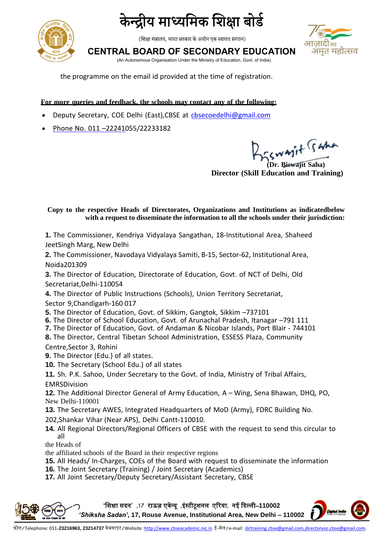

केन्द्रीय माध्यमिक शिक्षा बोर्ड

(शिक्षा मंत्रालय, भारत सरकार के अधीन एक स्वायत्त संगठन)

**CENTRAL BOARD OF SECONDARY EDUCATION**



(An Autonomous Organisation Under the Ministry of Education, Govt. of India)

the programme on the email id provided at the time of registration.

**For more queries and feedback, the schools may contact any of the following:**

- Deputy Secretary, COE Delhi (East), CBSE at [cbsecoedelhi@gmail.com](mailto:cbsecoedelhi@gmail.com)
- Phone No. 011-22241055/22233182

**(Dr. Biswajit Saha)**

**Director (Skill Education and Training)**

**Copy to the respective Heads of Directorates, Organizations and Institutions as indicatedbelow with a request to disseminate the information to all the schools under their jurisdiction:**

**1.** The Commissioner, Kendriya Vidyalaya Sangathan, 18-Institutional Area, Shaheed JeetSingh Marg, New Delhi

**2.** The Commissioner, Navodaya Vidyalaya Samiti, B-15, Sector-62, Institutional Area, Noida201309

**3.** The Director of Education, Directorate of Education, Govt. of NCT of Delhi, Old Secretariat,Delhi-110054

**4.** The Director of Public Instructions (Schools), Union Territory Secretariat,

- Sector 9,Chandigarh-160 017
- **5.** The Director of Education, Govt. of Sikkim, Gangtok, Sikkim –737101
- **6.** The Director of School Education, Govt. of Arunachal Pradesh, Itanagar –791 111
- **7.** The Director of Education, Govt. of Andaman & Nicobar Islands, Port Blair 744101
- **8.** The Director, Central Tibetan School Administration, ESSESS Plaza, Community Centre,Sector 3, Rohini
- **9.** The Director (Edu.) of all states.
- **10.** The Secretary (School Edu.) of all states

**11.** Sh. P.K. Sahoo, Under Secretary to the Govt. of India, Ministry of Tribal Affairs, EMRSDivision

**12.** The Additional Director General of Army Education, A – Wing, Sena Bhawan, DHQ, PO, New Delhi-110001

**13.** The Secretary AWES, Integrated Headquarters of MoD (Army), FDRC Building No.

202,Shankar Vihar (Near APS), Delhi Cantt-110010.

**14.** All Regional Directors/Regional Officers of CBSE with the request to send this circular to all

the Heads of

the affiliated schools of the Board in their respective regions

**15.** All Heads/ In-Charges, COEs of the Board with request to disseminate the information

**16.** The Joint Secretary (Training) / Joint Secretary (Academics)

**17.** All Joint Secretary/Deputy Secretary/Assistant Secretary, CBSE